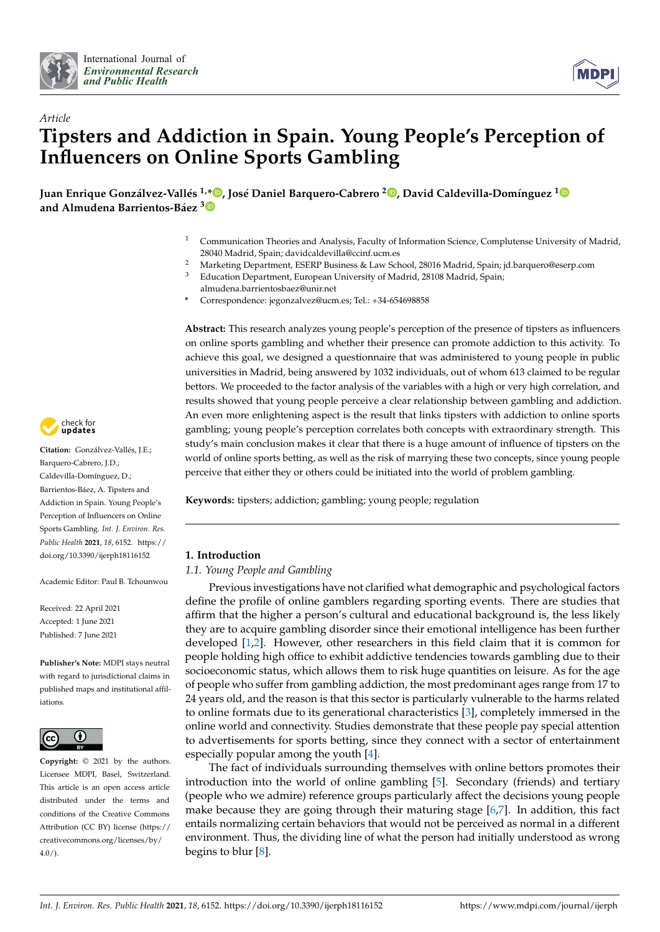



# *Article* **Tipsters and Addiction in Spain. Young People's Perception of Influencers on Online Sports Gambling**

**Juan Enrique Gonzálvez-Vallés 1,\* [,](https://orcid.org/0000-0001-5127-7753) José Daniel Barquero-Cabrero <sup>2</sup> [,](https://orcid.org/0000-0003-3927-0529) David Caldevilla-Domínguez [1](https://orcid.org/0000-0002-9850-1350) and Almudena Barrientos-Báez [3](https://orcid.org/0000-0001-9913-3353)**

- <sup>1</sup> Communication Theories and Analysis, Faculty of Information Science, Complutense University of Madrid, 28040 Madrid, Spain; davidcaldevilla@ccinf.ucm.es
- <sup>2</sup> Marketing Department, ESERP Business & Law School, 28016 Madrid, Spain; jd.barquero@eserp.com<br><sup>3</sup> Education Department, European University of Madrid, 28108 Madrid, Spain;
- Education Department, European University of Madrid, 28108 Madrid, Spain; almudena.barrientosbaez@unir.net
- **\*** Correspondence: jegonzalvez@ucm.es; Tel.: +34-654698858

**Abstract:** This research analyzes young people's perception of the presence of tipsters as influencers on online sports gambling and whether their presence can promote addiction to this activity. To achieve this goal, we designed a questionnaire that was administered to young people in public universities in Madrid, being answered by 1032 individuals, out of whom 613 claimed to be regular bettors. We proceeded to the factor analysis of the variables with a high or very high correlation, and results showed that young people perceive a clear relationship between gambling and addiction. An even more enlightening aspect is the result that links tipsters with addiction to online sports gambling; young people's perception correlates both concepts with extraordinary strength. This study's main conclusion makes it clear that there is a huge amount of influence of tipsters on the world of online sports betting, as well as the risk of marrying these two concepts, since young people perceive that either they or others could be initiated into the world of problem gambling.

**Keywords:** tipsters; addiction; gambling; young people; regulation

# **1. Introduction**

# *1.1. Young People and Gambling*

Previous investigations have not clarified what demographic and psychological factors define the profile of online gamblers regarding sporting events. There are studies that affirm that the higher a person's cultural and educational background is, the less likely they are to acquire gambling disorder since their emotional intelligence has been further developed [\[1,](#page-10-0)[2\]](#page-10-1). However, other researchers in this field claim that it is common for people holding high office to exhibit addictive tendencies towards gambling due to their socioeconomic status, which allows them to risk huge quantities on leisure. As for the age of people who suffer from gambling addiction, the most predominant ages range from 17 to 24 years old, and the reason is that this sector is particularly vulnerable to the harms related to online formats due to its generational characteristics [\[3\]](#page-10-2), completely immersed in the online world and connectivity. Studies demonstrate that these people pay special attention to advertisements for sports betting, since they connect with a sector of entertainment especially popular among the youth [\[4\]](#page-10-3).

The fact of individuals surrounding themselves with online bettors promotes their introduction into the world of online gambling [\[5\]](#page-10-4). Secondary (friends) and tertiary (people who we admire) reference groups particularly affect the decisions young people make because they are going through their maturing stage [\[6](#page-10-5)[,7\]](#page-10-6). In addition, this fact entails normalizing certain behaviors that would not be perceived as normal in a different environment. Thus, the dividing line of what the person had initially understood as wrong begins to blur [\[8\]](#page-10-7).



**Citation:** Gonzálvez-Vallés, J.E.; Barquero-Cabrero, J.D.; Caldevilla-Domínguez, D.; Barrientos-Báez, A. Tipsters and Addiction in Spain. Young People's Perception of Influencers on Online Sports Gambling. *Int. J. Environ. Res. Public Health* **2021**, *18*, 6152. [https://](https://doi.org/10.3390/ijerph18116152) [doi.org/10.3390/ijerph18116152](https://doi.org/10.3390/ijerph18116152)

Academic Editor: Paul B. Tchounwou

Received: 22 April 2021 Accepted: 1 June 2021 Published: 7 June 2021

**Publisher's Note:** MDPI stays neutral with regard to jurisdictional claims in published maps and institutional affiliations.



**Copyright:** © 2021 by the authors. Licensee MDPI, Basel, Switzerland. This article is an open access article distributed under the terms and conditions of the Creative Commons Attribution (CC BY) license (https:/[/](https://creativecommons.org/licenses/by/4.0/) [creativecommons.org/licenses/by/](https://creativecommons.org/licenses/by/4.0/)  $4.0/$ ).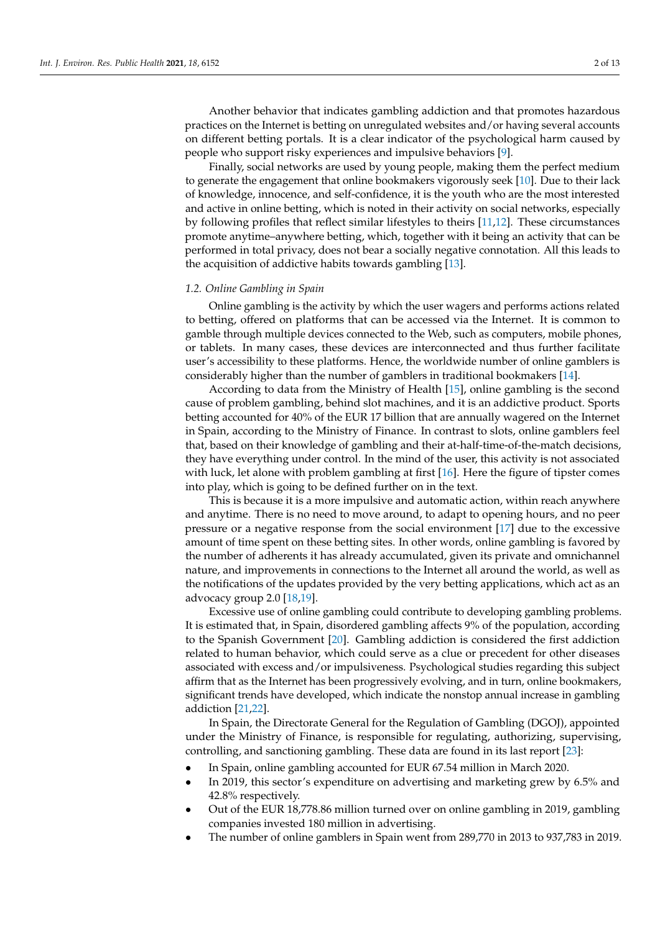Another behavior that indicates gambling addiction and that promotes hazardous practices on the Internet is betting on unregulated websites and/or having several accounts on different betting portals. It is a clear indicator of the psychological harm caused by people who support risky experiences and impulsive behaviors [\[9\]](#page-11-0).

Finally, social networks are used by young people, making them the perfect medium to generate the engagement that online bookmakers vigorously seek [\[10\]](#page-11-1). Due to their lack of knowledge, innocence, and self-confidence, it is the youth who are the most interested and active in online betting, which is noted in their activity on social networks, especially by following profiles that reflect similar lifestyles to theirs [\[11,](#page-11-2)[12\]](#page-11-3). These circumstances promote anytime–anywhere betting, which, together with it being an activity that can be performed in total privacy, does not bear a socially negative connotation. All this leads to the acquisition of addictive habits towards gambling [\[13\]](#page-11-4).

#### *1.2. Online Gambling in Spain*

Online gambling is the activity by which the user wagers and performs actions related to betting, offered on platforms that can be accessed via the Internet. It is common to gamble through multiple devices connected to the Web, such as computers, mobile phones, or tablets. In many cases, these devices are interconnected and thus further facilitate user's accessibility to these platforms. Hence, the worldwide number of online gamblers is considerably higher than the number of gamblers in traditional bookmakers [\[14\]](#page-11-5).

According to data from the Ministry of Health [\[15\]](#page-11-6), online gambling is the second cause of problem gambling, behind slot machines, and it is an addictive product. Sports betting accounted for 40% of the EUR 17 billion that are annually wagered on the Internet in Spain, according to the Ministry of Finance. In contrast to slots, online gamblers feel that, based on their knowledge of gambling and their at-half-time-of-the-match decisions, they have everything under control. In the mind of the user, this activity is not associated with luck, let alone with problem gambling at first [\[16\]](#page-11-7). Here the figure of tipster comes into play, which is going to be defined further on in the text.

This is because it is a more impulsive and automatic action, within reach anywhere and anytime. There is no need to move around, to adapt to opening hours, and no peer pressure or a negative response from the social environment [\[17\]](#page-11-8) due to the excessive amount of time spent on these betting sites. In other words, online gambling is favored by the number of adherents it has already accumulated, given its private and omnichannel nature, and improvements in connections to the Internet all around the world, as well as the notifications of the updates provided by the very betting applications, which act as an advocacy group 2.0 [\[18,](#page-11-9)[19\]](#page-11-10).

Excessive use of online gambling could contribute to developing gambling problems. It is estimated that, in Spain, disordered gambling affects 9% of the population, according to the Spanish Government [\[20\]](#page-11-11). Gambling addiction is considered the first addiction related to human behavior, which could serve as a clue or precedent for other diseases associated with excess and/or impulsiveness. Psychological studies regarding this subject affirm that as the Internet has been progressively evolving, and in turn, online bookmakers, significant trends have developed, which indicate the nonstop annual increase in gambling addiction [\[21](#page-11-12)[,22\]](#page-11-13).

In Spain, the Directorate General for the Regulation of Gambling (DGOJ), appointed under the Ministry of Finance, is responsible for regulating, authorizing, supervising, controlling, and sanctioning gambling. These data are found in its last report [\[23\]](#page-11-14):

- In Spain, online gambling accounted for EUR 67.54 million in March 2020.
- In 2019, this sector's expenditure on advertising and marketing grew by 6.5% and 42.8% respectively.
- Out of the EUR 18,778.86 million turned over on online gambling in 2019, gambling companies invested 180 million in advertising.
- The number of online gamblers in Spain went from 289,770 in 2013 to 937,783 in 2019.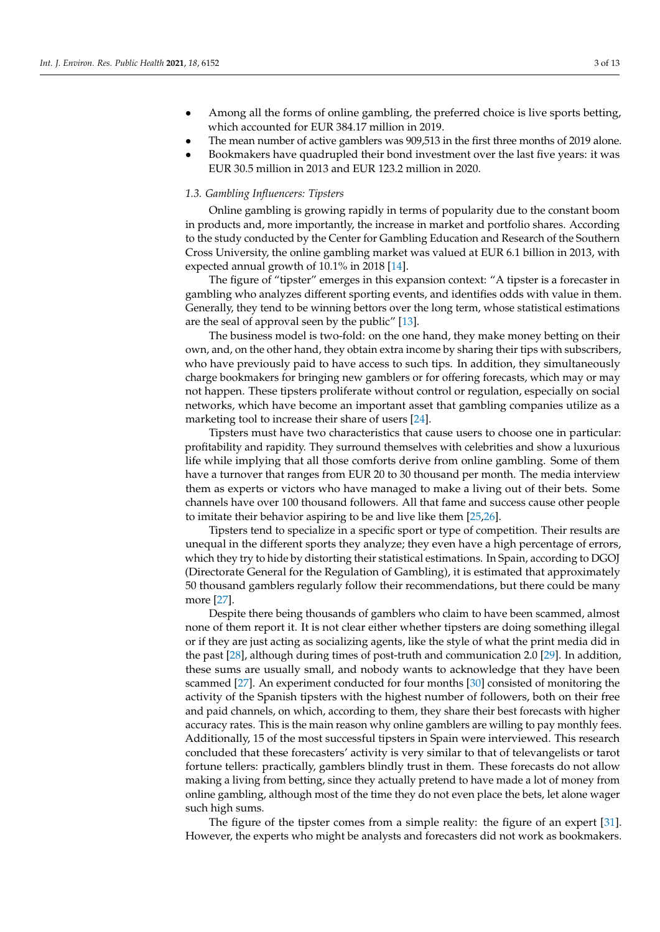- Among all the forms of online gambling, the preferred choice is live sports betting, which accounted for EUR 384.17 million in 2019.
- The mean number of active gamblers was 909,513 in the first three months of 2019 alone.
- Bookmakers have quadrupled their bond investment over the last five years: it was EUR 30.5 million in 2013 and EUR 123.2 million in 2020.

# *1.3. Gambling Influencers: Tipsters*

Online gambling is growing rapidly in terms of popularity due to the constant boom in products and, more importantly, the increase in market and portfolio shares. According to the study conducted by the Center for Gambling Education and Research of the Southern Cross University, the online gambling market was valued at EUR 6.1 billion in 2013, with expected annual growth of 10.1% in 2018 [\[14\]](#page-11-5).

The figure of "tipster" emerges in this expansion context: "A tipster is a forecaster in gambling who analyzes different sporting events, and identifies odds with value in them. Generally, they tend to be winning bettors over the long term, whose statistical estimations are the seal of approval seen by the public" [\[13\]](#page-11-4).

The business model is two-fold: on the one hand, they make money betting on their own, and, on the other hand, they obtain extra income by sharing their tips with subscribers, who have previously paid to have access to such tips. In addition, they simultaneously charge bookmakers for bringing new gamblers or for offering forecasts, which may or may not happen. These tipsters proliferate without control or regulation, especially on social networks, which have become an important asset that gambling companies utilize as a marketing tool to increase their share of users [\[24\]](#page-11-15).

Tipsters must have two characteristics that cause users to choose one in particular: profitability and rapidity. They surround themselves with celebrities and show a luxurious life while implying that all those comforts derive from online gambling. Some of them have a turnover that ranges from EUR 20 to 30 thousand per month. The media interview them as experts or victors who have managed to make a living out of their bets. Some channels have over 100 thousand followers. All that fame and success cause other people to imitate their behavior aspiring to be and live like them [\[25,](#page-11-16)[26\]](#page-11-17).

Tipsters tend to specialize in a specific sport or type of competition. Their results are unequal in the different sports they analyze; they even have a high percentage of errors, which they try to hide by distorting their statistical estimations. In Spain, according to DGOJ (Directorate General for the Regulation of Gambling), it is estimated that approximately 50 thousand gamblers regularly follow their recommendations, but there could be many more [\[27\]](#page-11-18).

Despite there being thousands of gamblers who claim to have been scammed, almost none of them report it. It is not clear either whether tipsters are doing something illegal or if they are just acting as socializing agents, like the style of what the print media did in the past [\[28\]](#page-11-19), although during times of post-truth and communication 2.0 [\[29\]](#page-11-20). In addition, these sums are usually small, and nobody wants to acknowledge that they have been scammed [\[27\]](#page-11-18). An experiment conducted for four months [\[30\]](#page-11-21) consisted of monitoring the activity of the Spanish tipsters with the highest number of followers, both on their free and paid channels, on which, according to them, they share their best forecasts with higher accuracy rates. This is the main reason why online gamblers are willing to pay monthly fees. Additionally, 15 of the most successful tipsters in Spain were interviewed. This research concluded that these forecasters' activity is very similar to that of televangelists or tarot fortune tellers: practically, gamblers blindly trust in them. These forecasts do not allow making a living from betting, since they actually pretend to have made a lot of money from online gambling, although most of the time they do not even place the bets, let alone wager such high sums.

The figure of the tipster comes from a simple reality: the figure of an expert [\[31\]](#page-11-22). However, the experts who might be analysts and forecasters did not work as bookmakers.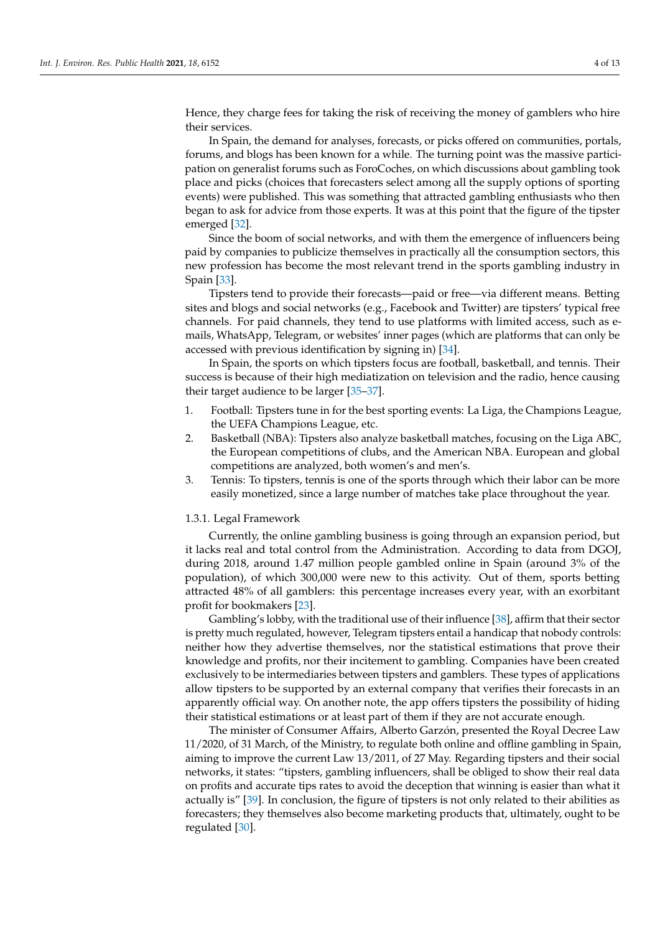Hence, they charge fees for taking the risk of receiving the money of gamblers who hire their services.

In Spain, the demand for analyses, forecasts, or picks offered on communities, portals, forums, and blogs has been known for a while. The turning point was the massive participation on generalist forums such as ForoCoches, on which discussions about gambling took place and picks (choices that forecasters select among all the supply options of sporting events) were published. This was something that attracted gambling enthusiasts who then began to ask for advice from those experts. It was at this point that the figure of the tipster emerged [\[32\]](#page-11-23).

Since the boom of social networks, and with them the emergence of influencers being paid by companies to publicize themselves in practically all the consumption sectors, this new profession has become the most relevant trend in the sports gambling industry in Spain [\[33\]](#page-11-24).

Tipsters tend to provide their forecasts—paid or free—via different means. Betting sites and blogs and social networks (e.g., Facebook and Twitter) are tipsters' typical free channels. For paid channels, they tend to use platforms with limited access, such as emails, WhatsApp, Telegram, or websites' inner pages (which are platforms that can only be accessed with previous identification by signing in) [\[34\]](#page-11-25).

In Spain, the sports on which tipsters focus are football, basketball, and tennis. Their success is because of their high mediatization on television and the radio, hence causing their target audience to be larger [\[35](#page-11-26)[–37\]](#page-11-27).

- 1. Football: Tipsters tune in for the best sporting events: La Liga, the Champions League, the UEFA Champions League, etc.
- 2. Basketball (NBA): Tipsters also analyze basketball matches, focusing on the Liga ABC, the European competitions of clubs, and the American NBA. European and global competitions are analyzed, both women's and men's.
- 3. Tennis: To tipsters, tennis is one of the sports through which their labor can be more easily monetized, since a large number of matches take place throughout the year.

#### 1.3.1. Legal Framework

Currently, the online gambling business is going through an expansion period, but it lacks real and total control from the Administration. According to data from DGOJ, during 2018, around 1.47 million people gambled online in Spain (around 3% of the population), of which 300,000 were new to this activity. Out of them, sports betting attracted 48% of all gamblers: this percentage increases every year, with an exorbitant profit for bookmakers [\[23\]](#page-11-14).

Gambling's lobby, with the traditional use of their influence [\[38\]](#page-11-28), affirm that their sector is pretty much regulated, however, Telegram tipsters entail a handicap that nobody controls: neither how they advertise themselves, nor the statistical estimations that prove their knowledge and profits, nor their incitement to gambling. Companies have been created exclusively to be intermediaries between tipsters and gamblers. These types of applications allow tipsters to be supported by an external company that verifies their forecasts in an apparently official way. On another note, the app offers tipsters the possibility of hiding their statistical estimations or at least part of them if they are not accurate enough.

The minister of Consumer Affairs, Alberto Garzón, presented the Royal Decree Law 11/2020, of 31 March, of the Ministry, to regulate both online and offline gambling in Spain, aiming to improve the current Law 13/2011, of 27 May. Regarding tipsters and their social networks, it states: "tipsters, gambling influencers, shall be obliged to show their real data on profits and accurate tips rates to avoid the deception that winning is easier than what it actually is" [\[39\]](#page-12-0). In conclusion, the figure of tipsters is not only related to their abilities as forecasters; they themselves also become marketing products that, ultimately, ought to be regulated [\[30\]](#page-11-21).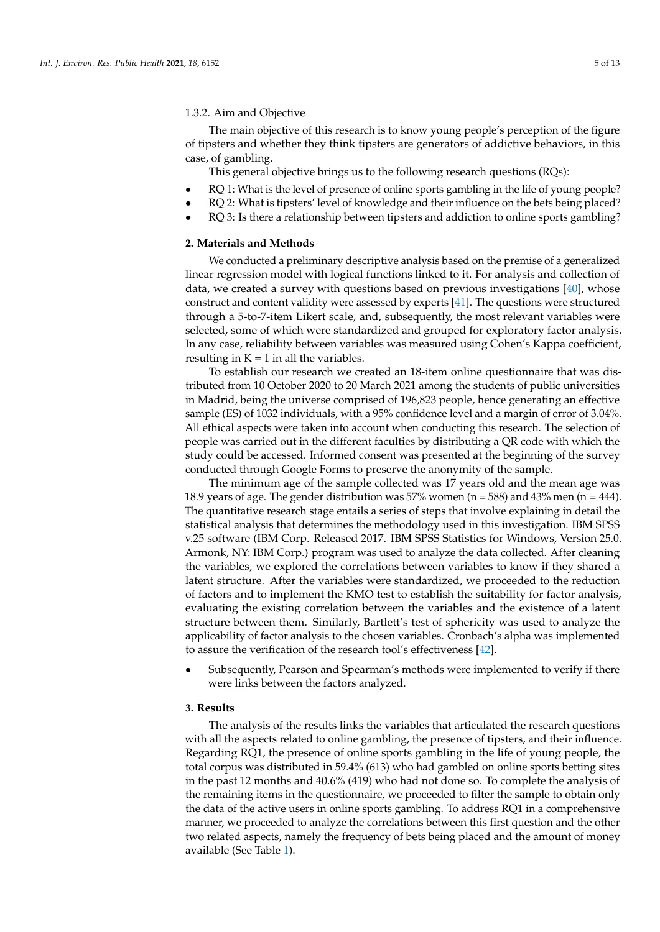### 1.3.2. Aim and Objective

The main objective of this research is to know young people's perception of the figure of tipsters and whether they think tipsters are generators of addictive behaviors, in this case, of gambling.

This general objective brings us to the following research questions (RQs):

- RQ 1: What is the level of presence of online sports gambling in the life of young people?
- RQ 2: What is tipsters' level of knowledge and their influence on the bets being placed?
- RQ 3: Is there a relationship between tipsters and addiction to online sports gambling?

#### **2. Materials and Methods**

We conducted a preliminary descriptive analysis based on the premise of a generalized linear regression model with logical functions linked to it. For analysis and collection of data, we created a survey with questions based on previous investigations [\[40\]](#page-12-1), whose construct and content validity were assessed by experts [\[41\]](#page-12-2). The questions were structured through a 5-to-7-item Likert scale, and, subsequently, the most relevant variables were selected, some of which were standardized and grouped for exploratory factor analysis. In any case, reliability between variables was measured using Cohen's Kappa coefficient, resulting in  $K = 1$  in all the variables.

To establish our research we created an 18-item online questionnaire that was distributed from 10 October 2020 to 20 March 2021 among the students of public universities in Madrid, being the universe comprised of 196,823 people, hence generating an effective sample (ES) of 1032 individuals, with a 95% confidence level and a margin of error of 3.04%. All ethical aspects were taken into account when conducting this research. The selection of people was carried out in the different faculties by distributing a QR code with which the study could be accessed. Informed consent was presented at the beginning of the survey conducted through Google Forms to preserve the anonymity of the sample.

The minimum age of the sample collected was 17 years old and the mean age was 18.9 years of age. The gender distribution was 57% women ( $n = 588$ ) and 43% men ( $n = 444$ ). The quantitative research stage entails a series of steps that involve explaining in detail the statistical analysis that determines the methodology used in this investigation. IBM SPSS v.25 software (IBM Corp. Released 2017. IBM SPSS Statistics for Windows, Version 25.0. Armonk, NY: IBM Corp.) program was used to analyze the data collected. After cleaning the variables, we explored the correlations between variables to know if they shared a latent structure. After the variables were standardized, we proceeded to the reduction of factors and to implement the KMO test to establish the suitability for factor analysis, evaluating the existing correlation between the variables and the existence of a latent structure between them. Similarly, Bartlett's test of sphericity was used to analyze the applicability of factor analysis to the chosen variables. Cronbach's alpha was implemented to assure the verification of the research tool's effectiveness [\[42\]](#page-12-3).

• Subsequently, Pearson and Spearman's methods were implemented to verify if there were links between the factors analyzed.

## **3. Results**

The analysis of the results links the variables that articulated the research questions with all the aspects related to online gambling, the presence of tipsters, and their influence. Regarding RQ1, the presence of online sports gambling in the life of young people, the total corpus was distributed in 59.4% (613) who had gambled on online sports betting sites in the past 12 months and 40.6% (419) who had not done so. To complete the analysis of the remaining items in the questionnaire, we proceeded to filter the sample to obtain only the data of the active users in online sports gambling. To address RQ1 in a comprehensive manner, we proceeded to analyze the correlations between this first question and the other two related aspects, namely the frequency of bets being placed and the amount of money available (See Table [1\)](#page-5-0).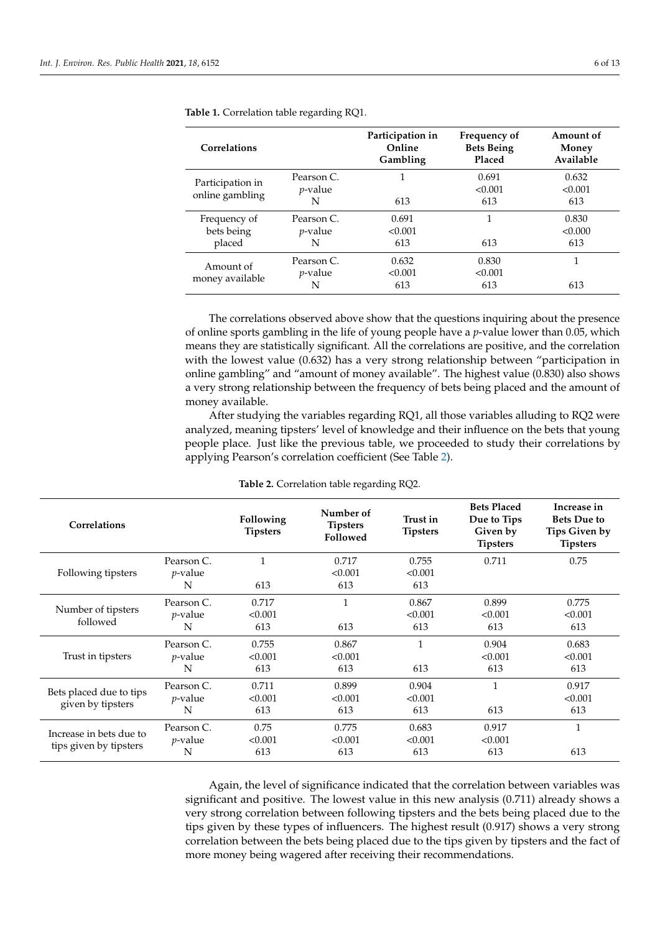| Correlations     |                 | Participation in<br>Online<br>Gambling | Frequency of<br><b>Bets Being</b><br>Placed | Amount of<br>Money<br>Available |
|------------------|-----------------|----------------------------------------|---------------------------------------------|---------------------------------|
| Participation in | Pearson C.      |                                        | 0.691                                       | 0.632                           |
| online gambling  | <i>p</i> -value |                                        | < 0.001                                     | < 0.001                         |
|                  | N               | 613                                    | 613                                         | 613                             |
| Frequency of     | Pearson C.      | 0.691                                  | 1                                           | 0.830                           |
| bets being       | <i>p</i> -value | < 0.001                                |                                             | < 0.000                         |
| placed           | N               | 613                                    | 613                                         | 613                             |
| Amount of        | Pearson C.      | 0.632                                  | 0.830                                       |                                 |
| money available  | <i>p</i> -value | < 0.001                                | < 0.001                                     |                                 |
|                  | N               | 613                                    | 613                                         | 613                             |

<span id="page-5-0"></span>**Table 1.** Correlation table regarding RQ1.

The correlations observed above show that the questions inquiring about the presence of online sports gambling in the life of young people have a *p*-value lower than 0.05, which means they are statistically significant. All the correlations are positive, and the correlation with the lowest value (0.632) has a very strong relationship between "participation in online gambling" and "amount of money available". The highest value (0.830) also shows a very strong relationship between the frequency of bets being placed and the amount of money available.

After studying the variables regarding RQ1, all those variables alluding to RQ2 were analyzed, meaning tipsters' level of knowledge and their influence on the bets that young people place. Just like the previous table, we proceeded to study their correlations by applying Pearson's correlation coefficient (See Table [2\)](#page-5-1).

<span id="page-5-1"></span>

| Correlations                                      |            | Following<br><b>Tipsters</b> | Number of<br><b>Tipsters</b><br>Followed | Trust in<br><b>Tipsters</b> | <b>Bets Placed</b><br>Due to Tips<br>Given by<br><b>Tipsters</b> | Increase in<br><b>Bets Due to</b><br>Tips Given by<br><b>Tipsters</b> |
|---------------------------------------------------|------------|------------------------------|------------------------------------------|-----------------------------|------------------------------------------------------------------|-----------------------------------------------------------------------|
|                                                   | Pearson C. | $\mathbf{1}$                 | 0.717                                    | 0.755                       | 0.711                                                            | 0.75                                                                  |
| Following tipsters                                | $p$ -value |                              | < 0.001                                  | < 0.001                     |                                                                  |                                                                       |
|                                                   | N          | 613                          | 613                                      | 613                         |                                                                  |                                                                       |
|                                                   | Pearson C. | 0.717                        | $\mathbf{1}$                             | 0.867                       | 0.899                                                            | 0.775                                                                 |
| Number of tipsters                                | $p$ -value | < 0.001                      |                                          | < 0.001                     | < 0.001                                                          | < 0.001                                                               |
| followed                                          | N          | 613                          | 613                                      | 613                         | 613                                                              | 613                                                                   |
|                                                   | Pearson C. | 0.755                        | 0.867                                    |                             | 0.904                                                            | 0.683                                                                 |
| Trust in tipsters                                 | $p$ -value | < 0.001                      | < 0.001                                  |                             | < 0.001                                                          | < 0.001                                                               |
|                                                   | N          | 613                          | 613                                      | 613                         | 613                                                              | 613                                                                   |
| Bets placed due to tips<br>given by tipsters      | Pearson C. | 0.711                        | 0.899                                    | 0.904                       | $\mathbf{1}$                                                     | 0.917                                                                 |
|                                                   | $p$ -value | < 0.001                      | < 0.001                                  | < 0.001                     |                                                                  | < 0.001                                                               |
|                                                   | N          | 613                          | 613                                      | 613                         | 613                                                              | 613                                                                   |
| Increase in bets due to<br>tips given by tipsters | Pearson C. | 0.75                         | 0.775                                    | 0.683                       | 0.917                                                            | 1                                                                     |
|                                                   | $p$ -value | < 0.001                      | < 0.001                                  | < 0.001                     | < 0.001                                                          |                                                                       |
|                                                   | N          | 613                          | 613                                      | 613                         | 613                                                              | 613                                                                   |

**Table 2.** Correlation table regarding RQ2.

Again, the level of significance indicated that the correlation between variables was significant and positive. The lowest value in this new analysis (0.711) already shows a very strong correlation between following tipsters and the bets being placed due to the tips given by these types of influencers. The highest result (0.917) shows a very strong correlation between the bets being placed due to the tips given by tipsters and the fact of more money being wagered after receiving their recommendations.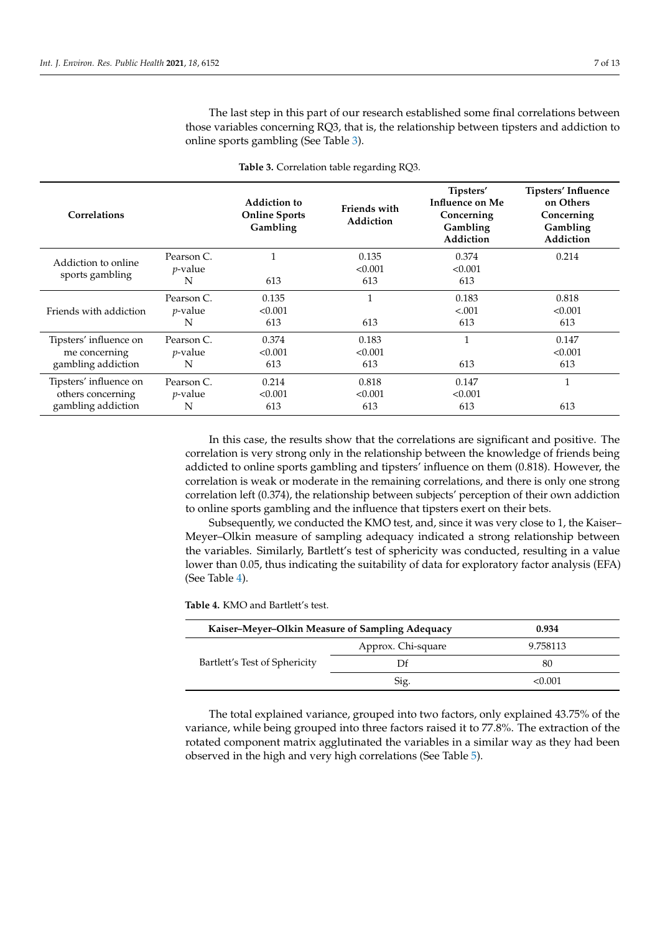The last step in this part of our research established some final correlations between those variables concerning RQ3, that is, the relationship between tipsters and addiction to online sports gambling (See Table [3\)](#page-6-0).

<span id="page-6-0"></span>

| <b>Correlations</b>                                               |                                    | <b>Addiction to</b><br><b>Online Sports</b><br>Gambling | <b>Friends with</b><br>Addiction | Tipsters'<br>Influence on Me<br>Concerning<br>Gambling<br>Addiction | Tipsters' Influence<br>on Others<br>Concerning<br>Gambling<br>Addiction |
|-------------------------------------------------------------------|------------------------------------|---------------------------------------------------------|----------------------------------|---------------------------------------------------------------------|-------------------------------------------------------------------------|
| Addiction to online<br>sports gambling                            | Pearson C.<br>$p$ -value<br>N      | 1<br>613                                                | 0.135<br>< 0.001<br>613          | 0.374<br>< 0.001<br>613                                             | 0.214                                                                   |
| Friends with addiction                                            | Pearson C.<br><i>p</i> -value<br>N | 0.135<br>< 0.001<br>613                                 | 1<br>613                         | 0.183<br>< .001<br>613                                              | 0.818<br>< 0.001<br>613                                                 |
| Tipsters' influence on<br>me concerning<br>gambling addiction     | Pearson C.<br><i>p</i> -value<br>N | 0.374<br>< 0.001<br>613                                 | 0.183<br>< 0.001<br>613          | 1<br>613                                                            | 0.147<br>< 0.001<br>613                                                 |
| Tipsters' influence on<br>others concerning<br>gambling addiction | Pearson C.<br><i>p</i> -value<br>N | 0.214<br>< 0.001<br>613                                 | 0.818<br>< 0.001<br>613          | 0.147<br>< 0.001<br>613                                             | 1<br>613                                                                |

**Table 3.** Correlation table regarding RQ3.

In this case, the results show that the correlations are significant and positive. The correlation is very strong only in the relationship between the knowledge of friends being addicted to online sports gambling and tipsters' influence on them (0.818). However, the correlation is weak or moderate in the remaining correlations, and there is only one strong correlation left (0.374), the relationship between subjects' perception of their own addiction to online sports gambling and the influence that tipsters exert on their bets.

Subsequently, we conducted the KMO test, and, since it was very close to 1, the Kaiser– Meyer–Olkin measure of sampling adequacy indicated a strong relationship between the variables. Similarly, Bartlett's test of sphericity was conducted, resulting in a value lower than 0.05, thus indicating the suitability of data for exploratory factor analysis (EFA) (See Table [4\)](#page-6-1).

<span id="page-6-1"></span>

| Kaiser–Meyer–Olkin Measure of Sampling Adequacy |                    | 0.934    |
|-------------------------------------------------|--------------------|----------|
|                                                 | Approx. Chi-square | 9.758113 |
| Bartlett's Test of Sphericity                   |                    | 80       |
|                                                 | Sig.               | <0.001   |

The total explained variance, grouped into two factors, only explained 43.75% of the variance, while being grouped into three factors raised it to 77.8%. The extraction of the rotated component matrix agglutinated the variables in a similar way as they had been observed in the high and very high correlations (See Table [5\)](#page-7-0).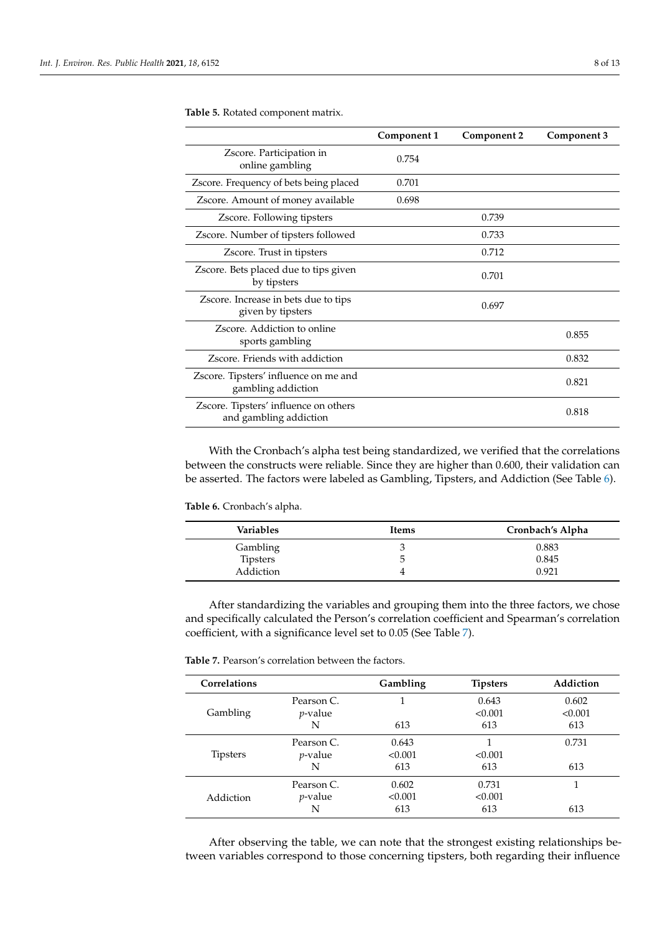|                                                                 | Component 1 | Component 2 | Component 3 |
|-----------------------------------------------------------------|-------------|-------------|-------------|
| Zscore. Participation in<br>online gambling                     | 0.754       |             |             |
| Zscore. Frequency of bets being placed                          | 0.701       |             |             |
| Zscore. Amount of money available                               | 0.698       |             |             |
| Zscore. Following tipsters                                      |             | 0.739       |             |
| Zscore. Number of tipsters followed                             |             | 0.733       |             |
| Zscore. Trust in tipsters                                       |             | 0.712       |             |
| Zscore. Bets placed due to tips given<br>by tipsters            |             | 0.701       |             |
| Zscore. Increase in bets due to tips<br>given by tipsters       |             | 0.697       |             |
| Zscore. Addiction to online<br>sports gambling                  |             |             | 0.855       |
| Zscore. Friends with addiction                                  |             |             | 0.832       |
| Zscore. Tipsters' influence on me and<br>gambling addiction     |             |             | 0.821       |
| Zscore. Tipsters' influence on others<br>and gambling addiction |             |             | 0.818       |

<span id="page-7-0"></span>**Table 5.** Rotated component matrix.

With the Cronbach's alpha test being standardized, we verified that the correlations between the constructs were reliable. Since they are higher than 0.600, their validation can be asserted. The factors were labeled as Gambling, Tipsters, and Addiction (See Table [6\)](#page-7-1).

<span id="page-7-1"></span>**Table 6.** Cronbach's alpha.

| Variables | Items | Cronbach's Alpha |
|-----------|-------|------------------|
| Gambling  |       | 0.883            |
| Tipsters  | 5     | 0.845            |
| Addiction | 4     | 0.921            |

After standardizing the variables and grouping them into the three factors, we chose and specifically calculated the Person's correlation coefficient and Spearman's correlation coefficient, with a significance level set to 0.05 (See Table [7\)](#page-7-2).

<span id="page-7-2"></span>**Table 7.** Pearson's correlation between the factors.

| Correlations    |                 | Gambling | <b>Tipsters</b> | Addiction |
|-----------------|-----------------|----------|-----------------|-----------|
|                 | Pearson C.      |          | 0.643           | 0.602     |
| Gambling        | <i>p</i> -value |          | < 0.001         | < 0.001   |
|                 | N               | 613      | 613             | 613       |
|                 | Pearson $C$ .   | 0.643    |                 | 0.731     |
| <b>Tipsters</b> | <i>p</i> -value | < 0.001  | < 0.001         |           |
|                 | N               | 613      | 613             | 613       |
|                 | Pearson C.      | 0.602    | 0.731           |           |
| Addiction       | <i>p</i> -value | < 0.001  | < 0.001         |           |
|                 | N               | 613      | 613             | 613       |

After observing the table, we can note that the strongest existing relationships between variables correspond to those concerning tipsters, both regarding their influence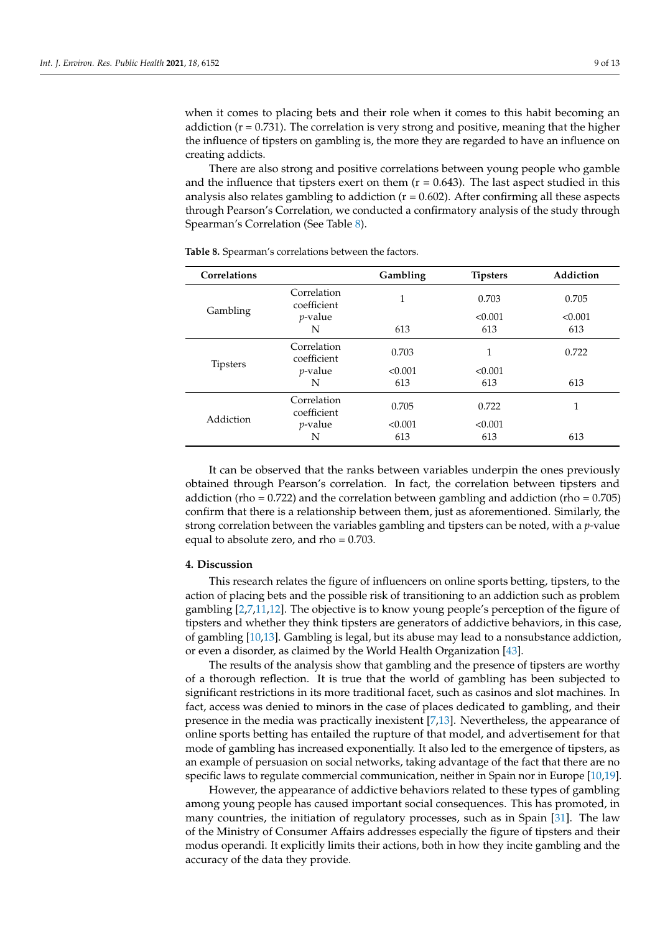when it comes to placing bets and their role when it comes to this habit becoming an addiction  $(r = 0.731)$ . The correlation is very strong and positive, meaning that the higher the influence of tipsters on gambling is, the more they are regarded to have an influence on creating addicts.

There are also strong and positive correlations between young people who gamble and the influence that tipsters exert on them  $(r = 0.643)$ . The last aspect studied in this analysis also relates gambling to addiction  $(r = 0.602)$ . After confirming all these aspects through Pearson's Correlation, we conducted a confirmatory analysis of the study through Spearman's Correlation (See Table [8\)](#page-8-0).

| Correlations    |                            | Gambling | <b>Tipsters</b> | Addiction |
|-----------------|----------------------------|----------|-----------------|-----------|
|                 | Correlation<br>coefficient | 1        | 0.703           | 0.705     |
| Gambling        | $p$ -value                 |          | < 0.001         | < 0.001   |
|                 | N                          | 613      | 613             | 613       |
| <b>Tipsters</b> | Correlation<br>coefficient | 0.703    | 1               | 0.722     |
|                 | $p$ -value                 | < 0.001  | < 0.001         |           |
|                 | N                          | 613      | 613             | 613       |
| Addiction       | Correlation<br>coefficient | 0.705    | 0.722           |           |
|                 | $p$ -value                 | < 0.001  | < 0.001         |           |
|                 | N                          | 613      | 613             | 613       |

<span id="page-8-0"></span>**Table 8.** Spearman's correlations between the factors.

It can be observed that the ranks between variables underpin the ones previously obtained through Pearson's correlation. In fact, the correlation between tipsters and addiction (rho  $= 0.722$ ) and the correlation between gambling and addiction (rho  $= 0.705$ ) confirm that there is a relationship between them, just as aforementioned. Similarly, the strong correlation between the variables gambling and tipsters can be noted, with a *p*-value equal to absolute zero, and  $rho = 0.703$ .

# **4. Discussion**

This research relates the figure of influencers on online sports betting, tipsters, to the action of placing bets and the possible risk of transitioning to an addiction such as problem gambling [\[2,](#page-10-1)[7,](#page-10-6)[11,](#page-11-2)[12\]](#page-11-3). The objective is to know young people's perception of the figure of tipsters and whether they think tipsters are generators of addictive behaviors, in this case, of gambling [\[10](#page-11-1)[,13\]](#page-11-4). Gambling is legal, but its abuse may lead to a nonsubstance addiction, or even a disorder, as claimed by the World Health Organization [\[43\]](#page-12-4).

The results of the analysis show that gambling and the presence of tipsters are worthy of a thorough reflection. It is true that the world of gambling has been subjected to significant restrictions in its more traditional facet, such as casinos and slot machines. In fact, access was denied to minors in the case of places dedicated to gambling, and their presence in the media was practically inexistent [\[7](#page-10-6)[,13\]](#page-11-4). Nevertheless, the appearance of online sports betting has entailed the rupture of that model, and advertisement for that mode of gambling has increased exponentially. It also led to the emergence of tipsters, as an example of persuasion on social networks, taking advantage of the fact that there are no specific laws to regulate commercial communication, neither in Spain nor in Europe [\[10](#page-11-1)[,19\]](#page-11-10).

However, the appearance of addictive behaviors related to these types of gambling among young people has caused important social consequences. This has promoted, in many countries, the initiation of regulatory processes, such as in Spain [\[31\]](#page-11-22). The law of the Ministry of Consumer Affairs addresses especially the figure of tipsters and their modus operandi. It explicitly limits their actions, both in how they incite gambling and the accuracy of the data they provide.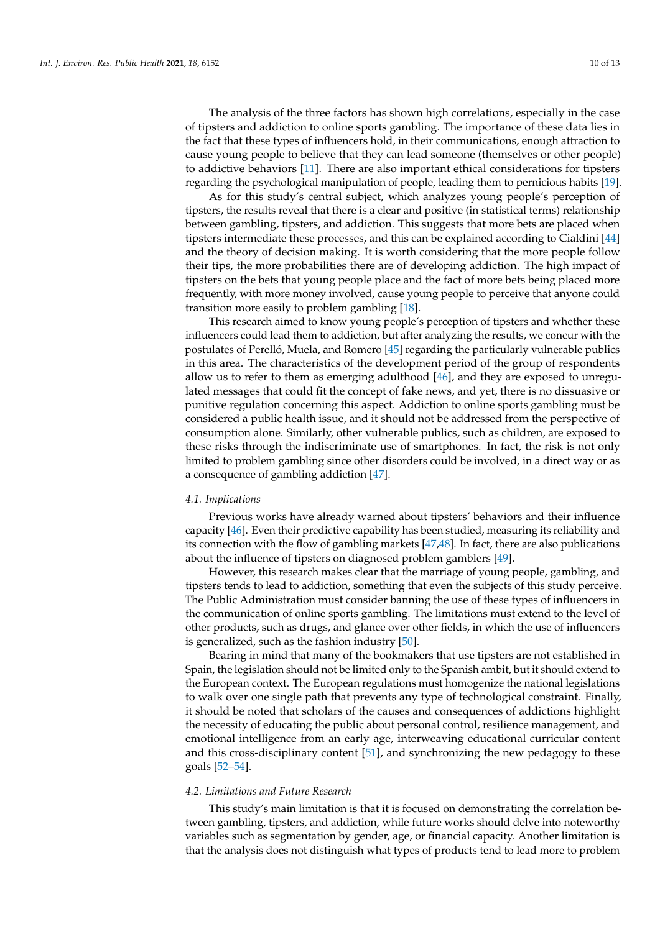The analysis of the three factors has shown high correlations, especially in the case of tipsters and addiction to online sports gambling. The importance of these data lies in the fact that these types of influencers hold, in their communications, enough attraction to cause young people to believe that they can lead someone (themselves or other people) to addictive behaviors [\[11\]](#page-11-2). There are also important ethical considerations for tipsters regarding the psychological manipulation of people, leading them to pernicious habits [\[19\]](#page-11-10).

As for this study's central subject, which analyzes young people's perception of tipsters, the results reveal that there is a clear and positive (in statistical terms) relationship between gambling, tipsters, and addiction. This suggests that more bets are placed when tipsters intermediate these processes, and this can be explained according to Cialdini [\[44\]](#page-12-5) and the theory of decision making. It is worth considering that the more people follow their tips, the more probabilities there are of developing addiction. The high impact of tipsters on the bets that young people place and the fact of more bets being placed more frequently, with more money involved, cause young people to perceive that anyone could transition more easily to problem gambling [\[18\]](#page-11-9).

This research aimed to know young people's perception of tipsters and whether these influencers could lead them to addiction, but after analyzing the results, we concur with the postulates of Perelló, Muela, and Romero [\[45\]](#page-12-6) regarding the particularly vulnerable publics in this area. The characteristics of the development period of the group of respondents allow us to refer to them as emerging adulthood [\[46\]](#page-12-7), and they are exposed to unregulated messages that could fit the concept of fake news, and yet, there is no dissuasive or punitive regulation concerning this aspect. Addiction to online sports gambling must be considered a public health issue, and it should not be addressed from the perspective of consumption alone. Similarly, other vulnerable publics, such as children, are exposed to these risks through the indiscriminate use of smartphones. In fact, the risk is not only limited to problem gambling since other disorders could be involved, in a direct way or as a consequence of gambling addiction [\[47\]](#page-12-8).

#### *4.1. Implications*

Previous works have already warned about tipsters' behaviors and their influence capacity [\[46\]](#page-12-7). Even their predictive capability has been studied, measuring its reliability and its connection with the flow of gambling markets [\[47,](#page-12-8)[48\]](#page-12-9). In fact, there are also publications about the influence of tipsters on diagnosed problem gamblers [\[49\]](#page-12-10).

However, this research makes clear that the marriage of young people, gambling, and tipsters tends to lead to addiction, something that even the subjects of this study perceive. The Public Administration must consider banning the use of these types of influencers in the communication of online sports gambling. The limitations must extend to the level of other products, such as drugs, and glance over other fields, in which the use of influencers is generalized, such as the fashion industry [\[50\]](#page-12-11).

Bearing in mind that many of the bookmakers that use tipsters are not established in Spain, the legislation should not be limited only to the Spanish ambit, but it should extend to the European context. The European regulations must homogenize the national legislations to walk over one single path that prevents any type of technological constraint. Finally, it should be noted that scholars of the causes and consequences of addictions highlight the necessity of educating the public about personal control, resilience management, and emotional intelligence from an early age, interweaving educational curricular content and this cross-disciplinary content [\[51\]](#page-12-12), and synchronizing the new pedagogy to these goals [\[52](#page-12-13)[–54\]](#page-12-14).

#### *4.2. Limitations and Future Research*

This study's main limitation is that it is focused on demonstrating the correlation between gambling, tipsters, and addiction, while future works should delve into noteworthy variables such as segmentation by gender, age, or financial capacity. Another limitation is that the analysis does not distinguish what types of products tend to lead more to problem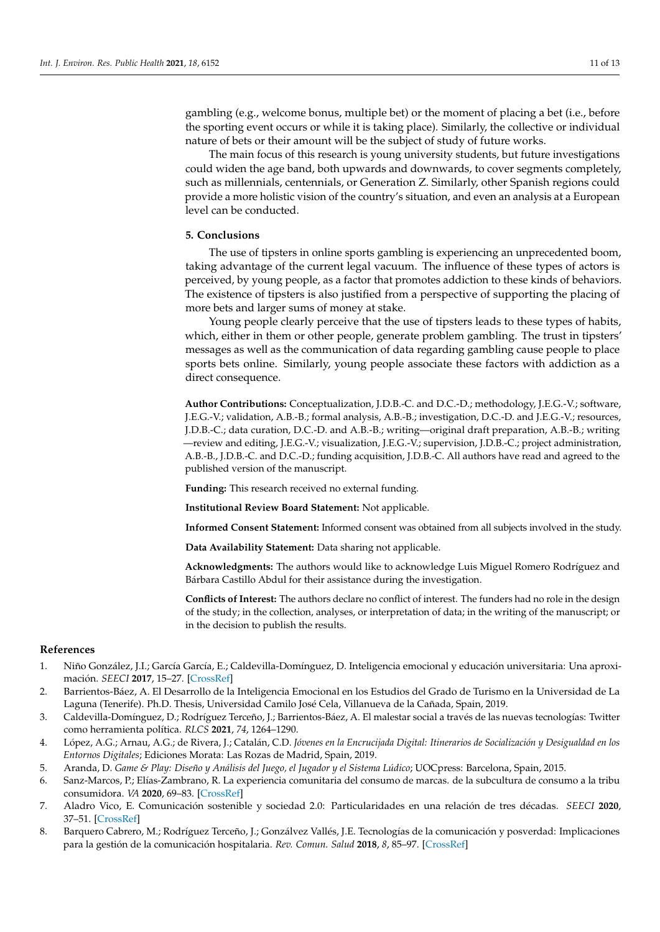gambling (e.g., welcome bonus, multiple bet) or the moment of placing a bet (i.e., before the sporting event occurs or while it is taking place). Similarly, the collective or individual nature of bets or their amount will be the subject of study of future works.

The main focus of this research is young university students, but future investigations could widen the age band, both upwards and downwards, to cover segments completely, such as millennials, centennials, or Generation Z. Similarly, other Spanish regions could provide a more holistic vision of the country's situation, and even an analysis at a European level can be conducted.

#### **5. Conclusions**

The use of tipsters in online sports gambling is experiencing an unprecedented boom, taking advantage of the current legal vacuum. The influence of these types of actors is perceived, by young people, as a factor that promotes addiction to these kinds of behaviors. The existence of tipsters is also justified from a perspective of supporting the placing of more bets and larger sums of money at stake.

Young people clearly perceive that the use of tipsters leads to these types of habits, which, either in them or other people, generate problem gambling. The trust in tipsters' messages as well as the communication of data regarding gambling cause people to place sports bets online. Similarly, young people associate these factors with addiction as a direct consequence.

**Author Contributions:** Conceptualization, J.D.B.-C. and D.C.-D.; methodology, J.E.G.-V.; software, J.E.G.-V.; validation, A.B.-B.; formal analysis, A.B.-B.; investigation, D.C.-D. and J.E.G.-V.; resources, J.D.B.-C.; data curation, D.C.-D. and A.B.-B.; writing—original draft preparation, A.B.-B.; writing —review and editing, J.E.G.-V.; visualization, J.E.G.-V.; supervision, J.D.B.-C.; project administration, A.B.-B., J.D.B.-C. and D.C.-D.; funding acquisition, J.D.B.-C. All authors have read and agreed to the published version of the manuscript.

**Funding:** This research received no external funding.

**Institutional Review Board Statement:** Not applicable.

**Informed Consent Statement:** Informed consent was obtained from all subjects involved in the study.

**Data Availability Statement:** Data sharing not applicable.

**Acknowledgments:** The authors would like to acknowledge Luis Miguel Romero Rodríguez and Bárbara Castillo Abdul for their assistance during the investigation.

**Conflicts of Interest:** The authors declare no conflict of interest. The funders had no role in the design of the study; in the collection, analyses, or interpretation of data; in the writing of the manuscript; or in the decision to publish the results.

#### **References**

- <span id="page-10-0"></span>1. Niño González, J.I.; García García, E.; Caldevilla-Domínguez, D. Inteligencia emocional y educación universitaria: Una aproximación. *SEECI* **2017**, 15–27. [\[CrossRef\]](http://doi.org/10.15198/seeci.2017.43.15-27)
- <span id="page-10-1"></span>2. Barrientos-Báez, A. El Desarrollo de la Inteligencia Emocional en los Estudios del Grado de Turismo en la Universidad de La Laguna (Tenerife). Ph.D. Thesis, Universidad Camilo José Cela, Villanueva de la Cañada, Spain, 2019.
- <span id="page-10-2"></span>3. Caldevilla-Domínguez, D.; Rodríguez Terceño, J.; Barrientos-Báez, A. El malestar social a través de las nuevas tecnologías: Twitter como herramienta política. *RLCS* **2021**, *74*, 1264–1290.
- <span id="page-10-3"></span>4. López, A.G.; Arnau, A.G.; de Rivera, J.; Catalán, C.D. *Jóvenes en la Encrucijada Digital: Itinerarios de Socialización y Desigualdad en los Entornos Digitales*; Ediciones Morata: Las Rozas de Madrid, Spain, 2019.
- <span id="page-10-4"></span>5. Aranda, D. *Game & Play: Diseño y Análisis del Juego, el Jugador y el Sistema Lúdico*; UOCpress: Barcelona, Spain, 2015.
- <span id="page-10-5"></span>6. Sanz-Marcos, P.; Elías-Zambrano, R. La experiencia comunitaria del consumo de marcas. de la subcultura de consumo a la tribu consumidora. *VA* **2020**, 69–83. [\[CrossRef\]](http://doi.org/10.15178/va.2020.151.69-83)
- <span id="page-10-6"></span>7. Aladro Vico, E. Comunicación sostenible y sociedad 2.0: Particularidades en una relación de tres décadas. *SEECI* **2020**, 37–51. [\[CrossRef\]](http://doi.org/10.15198/seeci.2020.53.37-51)
- <span id="page-10-7"></span>8. Barquero Cabrero, M.; Rodríguez Terceño, J.; Gonzálvez Vallés, J.E. Tecnologías de la comunicación y posverdad: Implicaciones para la gestión de la comunicación hospitalaria. *Rev. Comun. Salud* **2018**, *8*, 85–97. [\[CrossRef\]](http://doi.org/10.35669/revistadecomunicacionysalud.2018.8(1).85-97)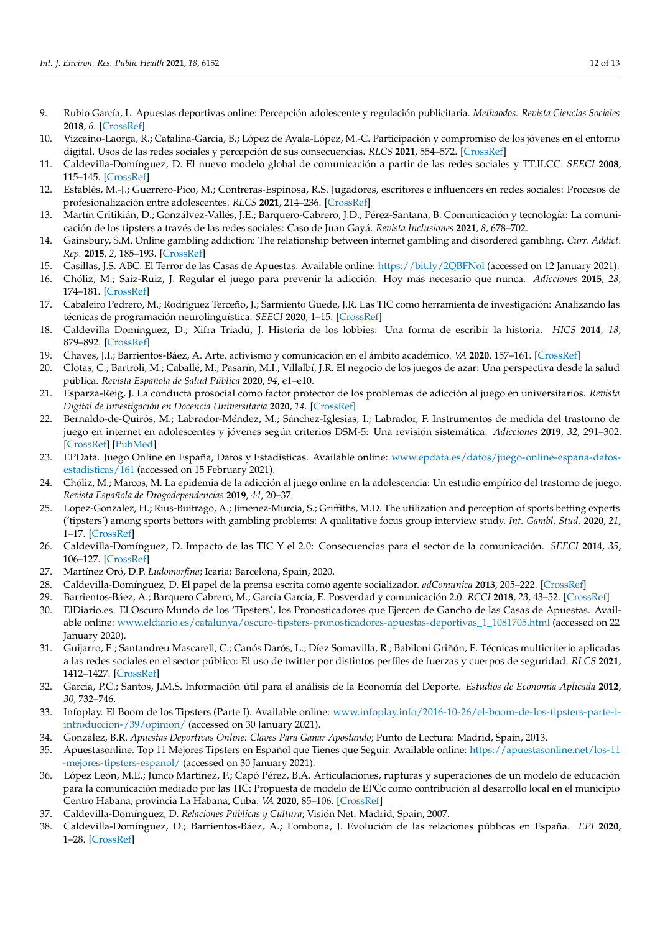- <span id="page-11-0"></span>9. Rubio García, L. Apuestas deportivas online: Percepción adolescente y regulación publicitaria. *Methaodos. Revista Ciencias Sociales* **2018**, *6*. [\[CrossRef\]](http://doi.org/10.17502/m.rcs.v6i1.207)
- <span id="page-11-1"></span>10. Vizcaíno-Laorga, R.; Catalina-García, B.; López de Ayala-López, M.-C. Participación y compromiso de los jóvenes en el entorno digital. Usos de las redes sociales y percepción de sus consecuencias. *RLCS* **2021**, 554–572. [\[CrossRef\]](http://doi.org/10.4185/RLCS-2019-1345)
- <span id="page-11-2"></span>11. Caldevilla-Domínguez, D. El nuevo modelo global de comunicación a partir de las redes sociales y TT.II.CC. *SEECI* **2008**, 115–145. [\[CrossRef\]](http://doi.org/10.15198/seeci.2008.16.115-145)
- <span id="page-11-3"></span>12. Establés, M.-J.; Guerrero-Pico, M.; Contreras-Espinosa, R.S. Jugadores, escritores e influencers en redes sociales: Procesos de profesionalización entre adolescentes. *RLCS* **2021**, 214–236. [\[CrossRef\]](http://doi.org/10.4185/RLCS-2019-1328)
- <span id="page-11-4"></span>13. Martín Critikián, D.; Gonzálvez-Vallés, J.E.; Barquero-Cabrero, J.D.; Pérez-Santana, B. Comunicación y tecnología: La comunicación de los tipsters a través de las redes sociales: Caso de Juan Gayá. *Revista Inclusiones* **2021**, *8*, 678–702.
- <span id="page-11-5"></span>14. Gainsbury, S.M. Online gambling addiction: The relationship between internet gambling and disordered gambling. *Curr. Addict. Rep.* **2015**, *2*, 185–193. [\[CrossRef\]](http://doi.org/10.1007/s40429-015-0057-8)
- <span id="page-11-6"></span>15. Casillas, J.S. ABC. El Terror de las Casas de Apuestas. Available online: <https://bit.ly/2QBFNol> (accessed on 12 January 2021).
- <span id="page-11-7"></span>16. Chóliz, M.; Saiz-Ruiz, J. Regular el juego para prevenir la adicción: Hoy más necesario que nunca. *Adicciones* **2015**, *28*, 174–181. [\[CrossRef\]](http://doi.org/10.20882/adicciones.820)
- <span id="page-11-8"></span>17. Cabaleiro Pedrero, M.; Rodríguez Terceño, J.; Sarmiento Guede, J.R. Las TIC como herramienta de investigación: Analizando las técnicas de programación neurolinguística. *SEECI* **2020**, 1–15. [\[CrossRef\]](http://doi.org/10.15198/seeci.2020.52.1-15)
- <span id="page-11-9"></span>18. Caldevilla Domínguez, D.; Xifra Triadú, J. Historia de los lobbies: Una forma de escribir la historia. *HICS* **2014**, *18*, 879–892. [\[CrossRef\]](http://doi.org/10.5209/rev_HICS.2013.v18.44371)
- <span id="page-11-10"></span>19. Chaves, J.I.; Barrientos-Báez, A. Arte, activismo y comunicación en el ámbito académico. *VA* **2020**, 157–161. [\[CrossRef\]](http://doi.org/10.15178/va.2020.151.157-161)
- <span id="page-11-11"></span>20. Clotas, C.; Bartroli, M.; Caballé, M.; Pasarín, M.I.; Villalbí, J.R. El negocio de los juegos de azar: Una perspectiva desde la salud pública. *Revista Española de Salud Pública* **2020**, *94*, e1–e10.
- <span id="page-11-12"></span>21. Esparza-Reig, J. La conducta prosocial como factor protector de los problemas de adicción al juego en universitarios. *Revista Digital de Investigación en Docencia Universitaria* **2020**, *14*. [\[CrossRef\]](http://doi.org/10.19083/ridu.2020.1197)
- <span id="page-11-13"></span>22. Bernaldo-de-Quirós, M.; Labrador-Méndez, M.; Sánchez-Iglesias, I.; Labrador, F. Instrumentos de medida del trastorno de juego en internet en adolescentes y jóvenes según criterios DSM-5: Una revisión sistemática. *Adicciones* **2019**, *32*, 291–302. [\[CrossRef\]](http://doi.org/10.20882/adicciones.1277) [\[PubMed\]](http://www.ncbi.nlm.nih.gov/pubmed/31342078)
- <span id="page-11-14"></span>23. EPData. Juego Online en España, Datos y Estadísticas. Available online: [www.epdata.es/datos/juego-online-espana-datos](www.epdata.es/datos/juego-online-espana-datos-estadisticas/161)[estadisticas/161](www.epdata.es/datos/juego-online-espana-datos-estadisticas/161) (accessed on 15 February 2021).
- <span id="page-11-15"></span>24. Chóliz, M.; Marcos, M. La epidemia de la adicción al juego online en la adolescencia: Un estudio empírico del trastorno de juego. *Revista Española de Drogodependencias* **2019**, *44*, 20–37.
- <span id="page-11-16"></span>25. Lopez-Gonzalez, H.; Rius-Buitrago, A.; Jimenez-Murcia, S.; Griffiths, M.D. The utilization and perception of sports betting experts ('tipsters') among sports bettors with gambling problems: A qualitative focus group interview study. *Int. Gambl. Stud.* **2020**, *21*, 1–17. [\[CrossRef\]](http://doi.org/10.1080/14459795.2020.1844270)
- <span id="page-11-17"></span>26. Caldevilla-Domínguez, D. Impacto de las TIC Y el 2.0: Consecuencias para el sector de la comunicación. *SEECI* **2014**, *35*, 106–127. [\[CrossRef\]](http://doi.org/10.15198/seeci.2014.35.106-127)
- <span id="page-11-18"></span>27. Martínez Oró, D.P. *Ludomorfina*; Icaria: Barcelona, Spain, 2020.
- <span id="page-11-19"></span>28. Caldevilla-Domínguez, D. El papel de la prensa escrita como agente socializador. *adComunica* **2013**, 205–222. [\[CrossRef\]](http://doi.org/10.6035/2174-0992.2013.6.12)
- <span id="page-11-20"></span>29. Barrientos-Báez, A.; Barquero Cabrero, M.; García García, E. Posverdad y comunicación 2.0. *RCCI* **2018**, *23*, 43–52. [\[CrossRef\]](http://doi.org/10.35742/rcci.2018.23(1).43-52)
- <span id="page-11-21"></span>30. ElDiario.es. El Oscuro Mundo de los 'Tipsters', los Pronosticadores que Ejercen de Gancho de las Casas de Apuestas. Available online: [www.eldiario.es/catalunya/oscuro-tipsters-pronosticadores-apuestas-deportivas\\_1\\_1081705.html](www.eldiario.es/catalunya/oscuro-tipsters-pronosticadores-apuestas-deportivas_1_1081705.html) (accessed on 22 January 2020).
- <span id="page-11-22"></span>31. Guijarro, E.; Santandreu Mascarell, C.; Canós Darós, L.; Díez Somavilla, R.; Babiloni Griñón, E. Técnicas multicriterio aplicadas a las redes sociales en el sector público: El uso de twitter por distintos perfiles de fuerzas y cuerpos de seguridad. *RLCS* **2021**, 1412–1427. [\[CrossRef\]](http://doi.org/10.4185/RLCS-2018-1314)
- <span id="page-11-23"></span>32. García, P.C.; Santos, J.M.S. Información útil para el análisis de la Economía del Deporte. *Estudios de Economía Aplicada* **2012**, *30*, 732–746.
- <span id="page-11-24"></span>33. Infoplay. El Boom de los Tipsters (Parte I). Available online: [www.infoplay.info/2016-10-26/el-boom-de-los-tipsters-parte-i](www.infoplay.info/2016-10-26/el-boom-de-los-tipsters-parte-i-introduccion-/39/opinion/)[introduccion-/39/opinion/](www.infoplay.info/2016-10-26/el-boom-de-los-tipsters-parte-i-introduccion-/39/opinion/) (accessed on 30 January 2021).
- <span id="page-11-25"></span>34. González, B.R. *Apuestas Deportivas Online: Claves Para Ganar Apostando*; Punto de Lectura: Madrid, Spain, 2013.
- <span id="page-11-26"></span>35. Apuestasonline. Top 11 Mejores Tipsters en Español que Tienes que Seguir. Available online: [https://apuestasonline.net/los-11](https://apuestasonline.net/los-11-mejores-tipsters-espanol/) [-mejores-tipsters-espanol/](https://apuestasonline.net/los-11-mejores-tipsters-espanol/) (accessed on 30 January 2021).
- 36. López León, M.E.; Junco Martínez, F.; Capó Pérez, B.A. Articulaciones, rupturas y superaciones de un modelo de educación para la comunicación mediado por las TIC: Propuesta de modelo de EPCc como contribución al desarrollo local en el municipio Centro Habana, provincia La Habana, Cuba. *VA* **2020**, 85–106. [\[CrossRef\]](http://doi.org/10.15178/va.2020.151.85-106)
- <span id="page-11-27"></span>37. Caldevilla-Domínguez, D. *Relaciones Públicas y Cultura*; Visión Net: Madrid, Spain, 2007.
- <span id="page-11-28"></span>38. Caldevilla-Domínguez, D.; Barrientos-Báez, A.; Fombona, J. Evolución de las relaciones públicas en España. *EPI* **2020**, 1–28. [\[CrossRef\]](http://doi.org/10.3145/epi.2020.may.05)